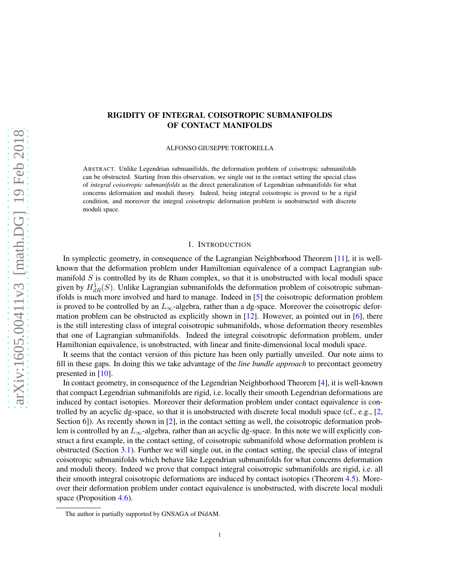# RIGIDITY OF INTEGRAL COISOTROPIC SUBMANIFOLDS OF CONTACT MANIFOLDS

ALFONSO GIUSEPPE TORTORELLA

ABSTRACT. Unlike Legendrian submanifolds, the deformation problem of coisotropic submanifolds can be obstructed. Starting from this observation, we single out in the contact setting the special class of *integral coisotropic submanifolds* as the direct generalization of Legendrian submanifolds for what concerns deformation and moduli theory. Indeed, being integral coisotropic is proved to be a rigid condition, and moreover the integral coisotropic deformation problem is unobstructed with discrete moduli space.

### 1. INTRODUCTION

In symplectic geometry, in consequence of the Lagrangian Neighborhood Theorem [\[11\]](#page-11-0), it is wellknown that the deformation problem under Hamiltonian equivalence of a compact Lagrangian submanifold *S* is controlled by its de Rham complex, so that it is unobstructed with local moduli space given by  $H^1_{dR}(S)$ . Unlike Lagrangian submanifolds the deformation problem of coisotropic submanifolds is much more involved and hard to manage. Indeed in [\[5\]](#page-10-0) the coisotropic deformation problem is proved to be controlled by an  $L_{\infty}$ -algebra, rather than a dg-space. Moreover the coisotropic deformation problem can be obstructed as explicitly shown in [\[12\]](#page-11-1). However, as pointed out in [\[6\]](#page-10-1), there is the still interesting class of integral coisotropic submanifolds, whose deformation theory resembles that one of Lagrangian submanifolds. Indeed the integral coisotropic deformation problem, under Hamiltonian equivalence, is unobstructed, with linear and finite-dimensional local moduli space.

It seems that the contact version of this picture has been only partially unveiled. Our note aims to fill in these gaps. In doing this we take advantage of the *line bundle approach* to precontact geometry presented in [\[10\]](#page-11-2).

In contact geometry, in consequence of the Legendrian Neighborhood Theorem [\[4\]](#page-10-2), it is well-known that compact Legendrian submanifolds are rigid, i.e. locally their smooth Legendrian deformations are induced by contact isotopies. Moreover their deformation problem under contact equivalence is controlled by an acyclic dg-space, so that it is unobstructed with discrete local moduli space (cf., e.g., [\[2,](#page-10-3) Section 6]). As recently shown in [\[2\]](#page-10-3), in the contact setting as well, the coisotropic deformation problem is controlled by an *L*∞-algebra, rather than an acyclic dg-space. In this note we will explicitly construct a first example, in the contact setting, of coisotropic submanifold whose deformation problem is obstructed (Section [3.1\)](#page-5-0). Further we will single out, in the contact setting, the special class of integral coisotropic submanifolds which behave like Legendrian submanifolds for what concerns deformation and moduli theory. Indeed we prove that compact integral coisotropic submanifolds are rigid, i.e. all their smooth integral coisotropic deformations are induced by contact isotopies (Theorem [4.5\)](#page-10-4). Moreover their deformation problem under contact equivalence is unobstructed, with discrete local moduli space (Proposition [4.6\)](#page-10-5).

The author is partially supported by GNSAGA of INdAM.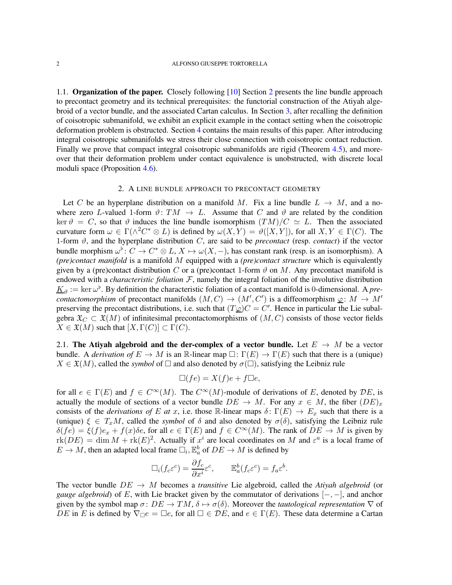1.1. Organization of the paper. Closely following [\[10\]](#page-11-2) Section [2](#page-1-0) presents the line bundle approach to precontact geometry and its technical prerequisites: the functorial construction of the Atiyah algebroid of a vector bundle, and the associated Cartan calculus. In Section [3,](#page-4-0) after recalling the definition of coisotropic submanifold, we exhibit an explicit example in the contact setting when the coisotropic deformation problem is obstructed. Section [4](#page-7-0) contains the main results of this paper. After introducing integral coisotropic submanifolds we stress their close connection with coisotropic contact reduction. Finally we prove that compact integral coisotropic submanifolds are rigid (Theorem [4.5\)](#page-10-4), and moreover that their deformation problem under contact equivalence is unobstructed, with discrete local moduli space (Proposition [4.6\)](#page-10-5).

### 2. A LINE BUNDLE APPROACH TO PRECONTACT GEOMETRY

<span id="page-1-0"></span>Let C be an hyperplane distribution on a manifold M. Fix a line bundle  $L \rightarrow M$ , and a nowhere zero *L*-valued 1-form  $\vartheta$ :  $TM \to L$ . Assume that *C* and  $\vartheta$  are related by the condition ker  $\vartheta = C$ , so that  $\vartheta$  induces the line bundle isomorphism  $(TM)/C \simeq L$ . Then the associated curvature form  $\omega \in \Gamma(\wedge^2 C^* \otimes L)$  is defined by  $\omega(X,Y) = \vartheta([X,Y])$ , for all  $X,Y \in \Gamma(C)$ . The 1-form  $\vartheta$ , and the hyperplane distribution *C*, are said to be *precontact* (resp. *contact*) if the vector bundle morphism  $\omega^{\flat}$ :  $C \to C^* \otimes L$ ,  $X \mapsto \omega(X, -)$ , has constant rank (resp. is an isomorphism). A *(pre)contact manifold* is a manifold *M* equipped with a *(pre)contact structure* which is equivalently given by a (pre)contact distribution *C* or a (pre)contact 1-form  $\vartheta$  on *M*. Any precontact manifold is endowed with a *characteristic foliation*  $F$ , namely the integral foliation of the involutive distribution  $K_{\vartheta} := \ker \omega^{\flat}$ . By definition the characteristic foliation of a contact manifold is 0-dimensional. A *precontactomorphism* of precontact manifolds  $(M, C) \rightarrow (M', C')$  is a diffeomorphism  $\varphi \colon M \to M'$ preserving the precontact distributions, i.e. such that  $(T\hat{\varphi})C = C'$ . Hence in particular the Lie subalgebra  $\mathfrak{X}_C \subset \mathfrak{X}(M)$  of infinitesimal precontactomorphisms of  $(M, C)$  consists of those vector fields  $X \in \mathfrak{X}(M)$  such that  $[X, \Gamma(C)] \subset \Gamma(C)$ .

2.1. The Atiyah algebroid and the der-complex of a vector bundle. Let  $E \to M$  be a vector bundle. A *derivation of*  $E \to M$  is an R-linear map  $\Box : \Gamma(E) \to \Gamma(E)$  such that there is a (unique)  $X \in \mathfrak{X}(M)$ , called the *symbol* of  $\square$  and also denoted by  $\sigma(\square)$ , satisfying the Leibniz rule

$$
\Box (fe) = X(f)e + f\Box e,
$$

for all  $e \in \Gamma(E)$  and  $f \in C^{\infty}(M)$ . The  $C^{\infty}(M)$ -module of derivations of *E*, denoted by *DE*, is actually the module of sections of a vector bundle  $DE \rightarrow M$ . For any  $x \in M$ , the fiber  $(DE)_x$ consists of the *derivations of E at x*, i.e. those R-linear maps  $\delta: \Gamma(E) \to E_x$  such that there is a (unique)  $\xi \in T_xM$ , called the *symbol* of  $\delta$  and also denoted by  $\sigma(\delta)$ , satisfying the Leibniz rule  $\delta$ (*fe*) =  $\xi$ (*f*)*e<sub>x</sub>* + *f*(*x*) $\delta$ *e*, for all  $e \in \Gamma(E)$  and  $f \in C^{\infty}(M)$ . The rank of  $DE \to M$  is given by  $r\text{rk}(DE) = \dim M + \text{rk}(E)^2$ . Actually if  $x^i$  are local coordinates on M and  $\varepsilon^a$  is a local frame of  $E \to M$ , then an adapted local frame  $\Box_i$ ,  $\mathbb{E}_a^b$  of  $DE \to M$  is defined by

$$
\Box_i (f_c \varepsilon^c) = \frac{\partial f_c}{\partial x^i} \varepsilon^c, \qquad \mathbb{E}_a^b (f_c \varepsilon^c) = f_a \varepsilon^b.
$$

The vector bundle  $DE \rightarrow M$  becomes a *transitive* Lie algebroid, called the *Atiyah algebroid* (or *gauge algebroid*) of *E*, with Lie bracket given by the commutator of derivations [−*,* −], and anchor given by the symbol map  $\sigma: DE \to TM$ ,  $\delta \mapsto \sigma(\delta)$ . Moreover the *tautological representation*  $\nabla$  of *DE* in *E* is defined by  $\nabla_{\Box}e = \Box e$ , for all  $\Box \in \mathcal{D}E$ , and  $e \in \Gamma(E)$ . These data determine a Cartan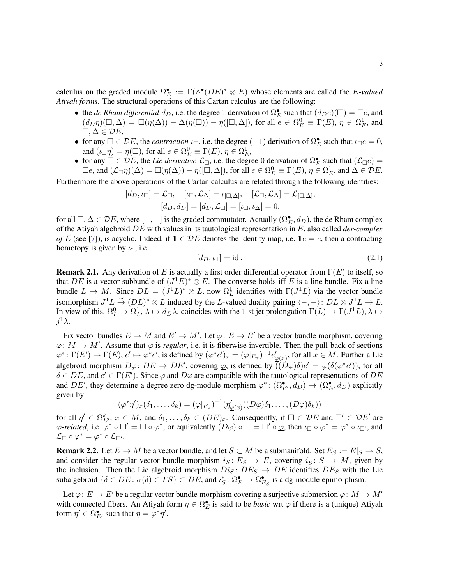calculus on the graded module  $\Omega_P^{\bullet}$  $\mathcal{F}_E := \Gamma(\wedge^{\bullet} (DE)^* \otimes E)$  whose elements are called the *E*-valued *Atiyah forms*. The structural operations of this Cartan calculus are the following:

- the *de Rham differential*  $d_D$ , i.e. the degree 1 derivation of  $\Omega_E^{\bullet}$  such that  $(d_De)(\Box) = \Box e$ , and  $(d_D\eta)(\Box,\Delta) = \Box(\eta(\Delta)) - \Delta(\eta(\Box)) - \eta([\Box,\Delta]),$  for all  $e \in \Omega_E^0 \equiv \Gamma(E), \eta \in \Omega_E^1$ , and  $\Box, \Delta$  ∈  $\mathcal{D}E$ ,
- for any  $\square \in \mathcal{D}E$ , the *contraction*  $\iota_{\square}$ , i.e. the degree  $(-1)$  derivation of  $\Omega_{\mathcal{F}}^{\bullet}$  $E$ <sup>*E*</sup> such that  $\iota_{\Box}e = 0$ , and  $(\iota_{\Box}\eta) = \eta(\Box)$ , for all  $e \in \Omega_E^0 \equiv \Gamma(E)$ ,  $\eta \in \Omega_E^1$ ,
- for any  $\Box \in \overline{DE}$ , the *Lie derivative*  $\mathcal{L}_{\Box}$ , i.e. the degree 0 derivation of  $\Omega_{\mathcal{L}}^{\bullet}$  $\mathcal{L}_E$  such that  $(\mathcal{L}_\Box e) =$  $\Box e$ , and  $(\mathcal{L}_\Box \eta)(\Delta) = \Box(\eta(\Delta)) - \eta([\Box, \Delta]),$  for all  $e \in \Omega_E^0 \equiv \Gamma(E)$ ,  $\eta \in \Omega_E^1$ , and  $\Delta \in \mathcal{D}E$ .

Furthermore the above operations of the Cartan calculus are related through the following identities:

$$
[d_D, \iota_{\Box}] = \mathcal{L}_{\Box}, \quad [\iota_{\Box}, \mathcal{L}_{\Delta}] = \iota_{[\Box, \Delta]}, \quad [\mathcal{L}_{\Box}, \mathcal{L}_{\Delta}] = \mathcal{L}_{[\Box, \Delta]}, [d_D, d_D] = [d_D, \mathcal{L}_{\Box}] = [\iota_{\Box}, \iota_{\Delta}] = 0,
$$

for all  $\Box, \Delta \in \mathcal{D}E$ , where  $[-,-]$  is the graded commutator. Actually  $(\Omega_E^{\bullet}, d_D)$ , the de Rham complex of the Atiyah algebroid *DE* with values in its tautological representation in *E*, also called *der-complex of E* (see [\[7\]](#page-10-6)), is acyclic. Indeed, if  $\mathbb{1} \in \mathcal{D}E$  denotes the identity map, i.e.  $\mathbb{1}e = e$ , then a contracting homotopy is given by  $\iota_1$ , i.e.

<span id="page-2-0"></span>
$$
[d_D, \iota_1] = \mathrm{id} \,. \tag{2.1}
$$

Remark 2.1. Any derivation of *E* is actually a first order differential operator from Γ(*E*) to itself, so that *DE* is a vector subbundle of  $(J^1E)^* \otimes E$ . The converse holds iff *E* is a line bundle. Fix a line bundle  $L \to M$ . Since  $DL = (\dot{J}^1 L)^* \otimes L$ , now  $\Omega_L^1$  identifies with  $\Gamma(J^1 L)$  via the vector bundle isomorphism  $J^1L \stackrel{\simeq}{\to} (DL)^* \otimes L$  induced by the *L*-valued duality pairing  $\langle -, - \rangle: DL \otimes J^1L \to L$ . In view of this,  $\Omega_L^0 \to \Omega_L^1$ ,  $\lambda \mapsto d_D \lambda$ , coincides with the 1-st jet prolongation  $\Gamma(L) \to \Gamma(J^1 L)$ ,  $\lambda \mapsto$ *j* <sup>1</sup>*λ*.

Fix vector bundles  $E \to M$  and  $E' \to M'$ . Let  $\varphi: E \to E'$  be a vector bundle morphism, covering  $\varphi: M \to M'$ . Assume that  $\varphi$  is *regular*, i.e. it is fiberwise invertible. Then the pull-back of sections  $\overline{\varphi}^* \colon \Gamma(E') \to \Gamma(E), e' \mapsto \varphi^* e'$ , is defined by  $(\varphi^* e')_x = (\varphi|_{E_x})^{-1} e'$  $\chi'_{\underline{\varphi}(x)}$ , for all  $x \in M$ . Further a Lie algebroid morphism  $D\varphi: DE \to DE'$ , covering  $\varphi$ , is defined by  $\overline{((D\varphi)\delta)}e' = \varphi(\delta(\varphi^*e'))$ , for all  $\delta \in DE$ , and  $e' \in \Gamma(E')$ . Since  $\varphi$  and  $D\varphi$  are compatible with the tautological representations of  $DE$ and  $DE'$ , they determine a degree zero dg-module morphism  $\varphi^* : (\Omega_{E'}^{\bullet}, d_D) \to (\Omega_E^{\bullet}, d_D)$  explicitly given by

$$
(\varphi^*\eta')_x(\delta_1,\ldots,\delta_k)=(\varphi|_{E_x})^{-1}(\eta'_{\underline{\varphi}(x)}((D\varphi)\delta_1,\ldots,(D\varphi)\delta_k))
$$

for all  $\eta' \in \Omega^k_{E'}$ ,  $x \in M$ , and  $\delta_1, \ldots, \delta_k \in (DE)_x$ . Consequently, if  $\Box \in \mathcal{D}E$  and  $\Box' \in \mathcal{D}E'$  are  $\varphi$ -related, i.e.  $\varphi^* \circ \Box' = \Box \circ \varphi^*$ , or equivalently  $(D\varphi) \circ \Box = \Box' \circ \varphi$ , then  $\iota_{\Box} \circ \varphi^* = \varphi^* \circ \iota_{\Box'}$ , and  $\mathcal{L}_{\Box} \circ \varphi^* = \varphi^* \circ \mathcal{L}_{\Box'}.$ 

**Remark 2.2.** Let  $E \to M$  be a vector bundle, and let  $S \subset M$  be a submanifold. Set  $E_S := E|_S \to S$ , and consider the regular vector bundle morphism  $i_S : E_S \rightarrow E$ , covering  $i_S : S \rightarrow M$ , given by the inclusion. Then the Lie algebroid morphism  $Dis: DE_S \rightarrow DE$  identifies  $DE_S$  with the Lie subalgebroid  $\{\delta \in DE : \sigma(\delta) \in TS\} \subset DE$ , and  $i_S^*$  $S^*$ :  $\Omega^{\bullet}_E \to \Omega^{\bullet}_E$  $\mathbf{E}_S$  is a dg-module epimorphism.

Let  $\varphi: E \to E'$  be a regular vector bundle morphism covering a surjective submersion  $\underline{\varphi}: M \to M'$ with connected fibers. An Atiyah form  $\eta \in \Omega_E^{\bullet}$  is said to be *basic* wrt  $\varphi$  if there is a (unique) Atiyah form  $\eta' \in \Omega_{E'}^{\bullet}$  such that  $\eta = \varphi^* \eta'$ .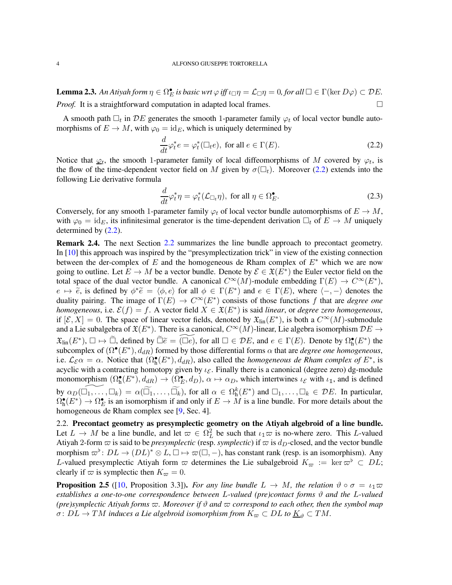<span id="page-3-4"></span>**Lemma 2.3.** An Atiyah form  $\eta \in \Omega_P^{\bullet}$  $\mathcal{L}_E$  *is basic wrt* $\varphi$ *iff**ι***<sub>Π</sub>** $\eta = \mathcal{L}_\Box \eta = 0$ *, for all* $\Box \in \Gamma(\ker D\varphi) \subset \mathcal{D}E$ *. Proof.* It is a straightforward computation in adapted local frames.

A smooth path  $\Box_t$  in  $\mathcal{D}E$  generates the smooth 1-parameter family  $\varphi_t$  of local vector bundle automorphisms of  $E \to M$ , with  $\varphi_0 = \text{id}_E$ , which is uniquely determined by

<span id="page-3-0"></span>
$$
\frac{d}{dt}\varphi_t^*e = \varphi_t^*(\Box_t e), \text{ for all } e \in \Gamma(E). \tag{2.2}
$$

Notice that  $\varphi_t$ , the smooth 1-parameter family of local diffeomorphisms of *M* covered by  $\varphi_t$ , is the flow of the time-dependent vector field on *M* given by  $\sigma(\Box_t)$ . Moreover [\(2.2\)](#page-3-0) extends into the following Lie derivative formula

$$
\frac{d}{dt}\varphi_t^*\eta = \varphi_t^*(\mathcal{L}_{\Box_t}\eta), \text{ for all } \eta \in \Omega_E^{\bullet}.
$$
\n(2.3)

Conversely, for any smooth 1-parameter family  $\varphi_t$  of local vector bundle automorphisms of  $E \to M$ , with  $\varphi_0 = id_E$ , its infinitesimal generator is the time-dependent derivation  $\Box_t$  of  $E \to M$  uniquely determined by [\(2.2\)](#page-3-0).

<span id="page-3-3"></span>Remark 2.4. The next Section [2.2](#page-3-1) summarizes the line bundle approach to precontact geometry. In [\[10\]](#page-11-2) this approach was inspired by the "presymplectization trick" in view of the existing connection between the der-complex of *E* and the homogeneous de Rham complex of *E*<sup>∗</sup> which we are now going to outline. Let  $E \to M$  be a vector bundle. Denote by  $\mathcal{E} \in \mathfrak{X}(E^*)$  the Euler vector field on the total space of the dual vector bundle. A canonical  $C^{\infty}(M)$ -module embedding  $\Gamma(E) \to C^{\infty}(E^*)$ ,  $e \mapsto \overline{\widetilde{e}}$ , is defined by  $\phi^* \widetilde{e} = \langle \phi, e \rangle$  for all  $\phi \in \Gamma(E^*)$  and  $e \in \Gamma(E)$ , where  $\langle -, - \rangle$  denotes the duality pairing. The image of  $\Gamma(E) \to C^{\infty}(E^*)$  consists of those functions *f* that are *degree one homogeneous*, i.e.  $\mathcal{E}(f) = f$ . A vector field  $\hat{X} \in \mathfrak{X}(E^*)$  is said *linear*, or *degree zero homogeneous*, if  $[\mathcal{E}, X] = 0$ . The space of linear vector fields, denoted by  $\mathfrak{X}_{\text{lin}}(E^*)$ , is both a  $C^{\infty}(M)$ -submodule and a Lie subalgebra of  $\mathfrak{X}(E^*)$ . There is a canonical,  $C^{\infty}(M)$ -linear, Lie algebra isomorphism  $\mathcal{D}E \to$  $\mathfrak{X}_{\text{lin}}(E^*)$ ,  $\square \mapsto \widetilde{\square}$ , defined by  $\widetilde{\square} \widetilde{e} = \widetilde{(\square e)}$ , for all  $\square \in \mathcal{DE}$ , and  $e \in \Gamma(E)$ . Denote by  $\Omega_h^{\bullet}$  $_{h}^{\bullet}(E^*)$  the subcomplex of  $(\Omega^{\bullet}(E^*), d_{dR})$  formed by those differential forms  $\alpha$  that are *degree one homogeneous*, i.e.  $\mathcal{L}_{\mathcal{E}}\alpha = \alpha$ . Notice that  $(\Omega_h^{\bullet}(E^*), d_{dR})$ , also called the *homogeneous de Rham complex of*  $E^*$ , is acyclic with a contracting homotopy given by *ιε*. Finally there is a canonical (degree zero) dg-module monomorphism  $(\Omega_h^{\bullet}(E^*), d_{dR}) \to (\Omega_E^{\bullet}, d_D), \alpha \mapsto \alpha_D$ , which intertwines  $\iota_{\mathcal{E}}$  with  $\iota_1$ , and is defined by  $\alpha_D(\overline{\square}_1, \ldots, \overline{\square}_k) = \alpha(\overline{\square}_1, \ldots, \overline{\square}_k)$ , for all  $\alpha \in \Omega_h^k(E^*)$  and  $\Box_1, \ldots, \Box_k \in \mathcal{D}E$ . In particular,  $\tilde{\Omega_h^{\bullet}}$  $\mathbf{h}_h^{\bullet}(E^*) \to \Omega_E^{\bullet}$  is an isomorphism if and only if  $E \to M$  is a line bundle. For more details about the homogeneous de Rham complex see [\[9,](#page-11-3) Sec. 4].

<span id="page-3-1"></span>2.2. Precontact geometry as presymplectic geometry on the Atiyah algebroid of a line bundle. Let  $L \to M$  be a line bundle, and let  $\varpi \in \Omega_L^2$  be such that  $\iota_1 \varpi$  is no-where zero. This *L*-valued Atiyah 2-form  $\varpi$  is said to be *presymplectic* (resp. *symplectic*) if  $\varpi$  is  $d_D$ -closed, and the vector bundle morphism  $\varpi^{\flat}$ :  $DL \to (DL)^* \otimes L$ ,  $\square \mapsto \varpi(\square, -)$ , has constant rank (resp. is an isomorphism). Any *L*-valued presymplectic Atiyah form  $\varpi$  determines the Lie subalgebroid  $K_{\varpi} := \ker \varpi^{\flat} \subset DL$ ; clearly if  $\varpi$  is symplectic then  $K_{\varpi} = 0$ .

<span id="page-3-2"></span>**Proposition 2.5** ([\[10,](#page-11-2) Proposition 3.3]). *For any line bundle*  $L \to M$ *, the relation*  $\vartheta \circ \sigma = \iota_1 \varpi$ *establishes a one-to-one correspondence between L-valued (pre)contact forms ϑ and the L-valued (pre)symplectic Atiyah forms*  $\varpi$ *. Moreover if*  $\vartheta$  *and*  $\varpi$  *correspond to each other, then the symbol map*  $\sigma: DL \to TM$  *induces a Lie algebroid isomorphism from*  $K_{\varpi} \subset DL$  *to*  $\underline{K}_{\vartheta} \subset TM$ *.*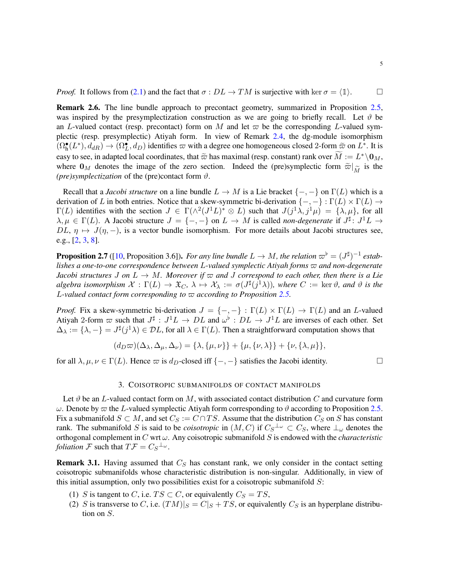*Proof.* It follows from [\(2.1\)](#page-2-0) and the fact that  $\sigma : DL \to TM$  is surjective with ker  $\sigma = \langle 1 \rangle$ .

Remark 2.6. The line bundle approach to precontact geometry, summarized in Proposition [2.5,](#page-3-2) was inspired by the presymplectization construction as we are going to briefly recall. Let  $\vartheta$  be an *L*-valued contact (resp. precontact) form on *M* and let  $\varpi$  be the corresponding *L*-valued symplectic (resp. presymplectic) Atiyah form. In view of Remark [2.4,](#page-3-3) the dg-module isomorphism  $(\Omega_h^{\bullet}(L^*), d_{dR}) \to (\Omega_L^{\bullet}, d_D)$  identifies  $\varpi$  with a degree one homogeneous closed 2-form  $\tilde{\varpi}$  on  $L^*$ . It is easy to see, in adapted local coordinates, that  $\tilde{\varpi}$  has maximal (resp. constant) rank over  $\widetilde{M} := L^* \backslash \mathbf{0}_M$ , where  $\mathbf{0}_M$  denotes the image of the zero section. Indeed the (pre)symplectic form  $\tilde{\varpi}|_{\tilde{M}}$  is the (pre)symplectization of the (pre)contact form  $\vartheta$ *(pre)symplectization* of the (pre)contact form *ϑ*.

Recall that a *Jacobi structure* on a line bundle  $L \to M$  is a Lie bracket  $\{-, -\}$  on  $\Gamma(L)$  which is a derivation of *L* in both entries. Notice that a skew-symmetric bi-derivation  $\{-, -\} : \Gamma(L) \times \Gamma(L) \rightarrow$  $\Gamma(L)$  identifies with the section  $J \in \Gamma(\wedge^2 (J^1L)^* \otimes L)$  such that  $J(j^1\lambda, j^1\mu) = \{\lambda, \mu\}$ , for all  $\lambda, \mu \in \Gamma(L)$ . A Jacobi structure  $J = \{-, -\}$  on  $L \to M$  is called *non-degenerate* if  $J^{\sharp}$ :  $J^1L \to$ *DL*,  $\eta \mapsto J(\eta, -)$ , is a vector bundle isomorphism. For more details about Jacobi structures see, e.g., [\[2,](#page-10-3) [3,](#page-10-7) [8\]](#page-11-4).

**Proposition 2.7** ([\[10,](#page-11-2) Proposition 3.6]). *For any line bundle*  $L \to M$ , the relation  $\varpi^{\flat} = (J^{\sharp})^{-1}$  estab*lishes a one-to-one correspondence between L-valued symplectic Atiyah forms ̟ and non-degenerate Jacobi structures J* on  $L \rightarrow M$ *. Moreover if*  $\varpi$  *and J correspond to each other, then there is a Lie algebra isomorphism*  $\mathcal{X} : \Gamma(L) \to \mathfrak{X}_C$ ,  $\lambda \mapsto \mathcal{X}_\lambda := \sigma(J^{\sharp}(j^1\lambda))$ , where  $C := \text{ker } \vartheta$ , and  $\vartheta$  is the *L*-valued contact form corresponding to  $\varpi$  according to Proposition [2.5.](#page-3-2)

*Proof.* Fix a skew-symmetric bi-derivation  $J = \{-,-\} : \Gamma(L) \times \Gamma(L) \to \Gamma(L)$  and an *L*-valued Atiyah 2-form  $\varpi$  such that  $J^{\sharp}: J^1L \to DL$  and  $\omega^{\flat}: DL \to J^1L$  are inverses of each other. Set  $\Delta_{\lambda} := \{\lambda, -\} = J^{\sharp}(j^1 \lambda) \in \mathcal{D}L$ , for all  $\lambda \in \Gamma(L)$ . Then a straightforward computation shows that

$$
(d_D\varpi)(\Delta_{\lambda}, \Delta_{\mu}, \Delta_{\nu}) = {\lambda, {\mu, \nu}} + {\mu, {\nu, \lambda}} + {\nu, {\lambda, \mu}},
$$

<span id="page-4-0"></span>for all  $\lambda, \mu, \nu \in \Gamma(L)$ . Hence  $\varpi$  is *d*<sub>*D*</sub>-closed iff  $\{-,-\}$  satisfies the Jacobi identity.

### 3. COISOTROPIC SUBMANIFOLDS OF CONTACT MANIFOLDS

Let  $\vartheta$  be an *L*-valued contact form on *M*, with associated contact distribution *C* and curvature form *ω*. Denote by  $\varpi$  the *L*-valued symplectic Atiyah form corresponding to *θ* according to Proposition [2.5.](#page-3-2) Fix a submanifold  $S \subset M$ , and set  $C_S := C \cap TS$ . Assume that the distribution  $C_S$  on *S* has constant rank. The submanifold *S* is said to be *coisotropic* in  $(M, C)$  if  $C_S^{\perp_\omega} \subset C_S$ , where  $\perp_\omega$  denotes the orthogonal complement in *C* wrt *ω*. Any coisotropic submanifold *S* is endowed with the *characteristic foliation*  $\mathcal{F}$  such that  $T\mathcal{F} = C_S^{\perp_\omega}$ .

Remark 3.1. Having assumed that *C<sup>S</sup>* has constant rank, we only consider in the contact setting coisotropic submanifolds whose characteristic distribution is non-singular. Additionally, in view of this initial assumption, only two possibilities exist for a coisotropic submanifold *S*:

- (1) *S* is tangent to *C*, i.e.  $TS \subset C$ , or equivalently  $C_S = TS$ ,
- (2) *S* is transverse to *C*, i.e.  $(TM)|_S = C|_S + TS$ , or equivalently  $C_S$  is an hyperplane distribution on *S*.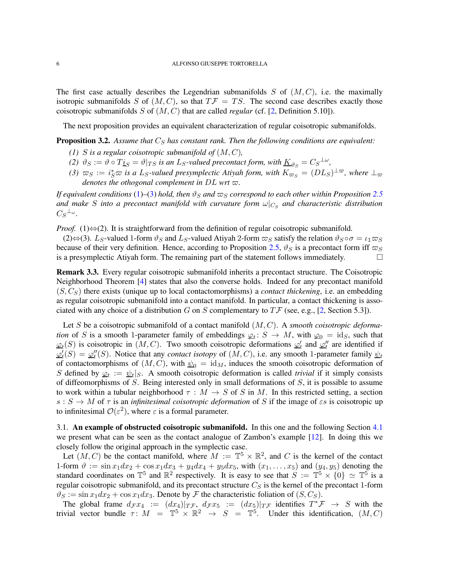The first case actually describes the Legendrian submanifolds  $S$  of  $(M, C)$ , i.e. the maximally isotropic submanifolds *S* of  $(M, C)$ , so that  $T\mathcal{F} = TS$ . The second case describes exactly those coisotropic submanifolds *S* of (*M, C*) that are called *regular* (cf. [\[2,](#page-10-3) Definition 5.10]).

The next proposition provides an equivalent characterization of regular coisotropic submanifolds.

<span id="page-5-3"></span><span id="page-5-1"></span>Proposition 3.2. *Assume that C<sup>S</sup> has constant rank. Then the following conditions are equivalent:*

- *(1) S* is a regular coisotropic submanifold of  $(M, C)$ ,
- <span id="page-5-2"></span>*(2)*  $\vartheta_S := \vartheta \circ T_{\mathcal{L}S} = \vartheta|_{TS}$  *is an L<sub>S</sub>*-valued precontact form, with  $\underline{K}_{\vartheta_S} = C_S^{\perp \omega}$ ,
- $(3)$   $\varpi_S := i_S^* \varpi$  is a L<sub>S</sub>-valued presymplectic Atiyah form, with  $K_{\varpi_S} = (DL_S)^{\perp \varpi}$ , where  $\perp_{\varpi}$ *denotes the othogonal complement in*  $DL$  *wrt*  $\varpi$ *.*

*If equivalent conditions* [\(1\)](#page-5-1)–[\(3\)](#page-5-2) *hold, then*  $\vartheta_S$  *and*  $\varpi_S$  *correspond to each other within Proposition* [2.5](#page-3-2) *and make S into a precontact manifold with curvature form ω*|*C<sup>S</sup> and characteristic distribution*  $C_S^{\perp_\omega}$ *.* 

*Proof.* (1)⇔(2). It is straightforward from the definition of regular coisotropic submanifold.

 $(2) \Leftrightarrow (3)$ . *L<sub>S</sub>*-valued 1-form  $\vartheta_S$  and *L<sub>S</sub>*-valued Atiyah 2-form  $\varpi_S$  satisfy the relation  $\vartheta_S \circ \sigma = \iota_1 \varpi_S$ because of their very definition. Hence, according to Proposition [2.5,](#page-3-2)  $\vartheta_S$  is a precontact form iff  $\varpi_S$ is a presymplectic Atiyah form. The remaining part of the statement follows immediately.  $\Box$ 

Remark 3.3. Every regular coisotropic submanifold inherits a precontact structure. The Coisotropic Neighborhood Theorem [\[4\]](#page-10-2) states that also the converse holds. Indeed for any precontact manifold (*S, CS*) there exists (unique up to local contactomorphisms) a *contact thickening*, i.e. an embedding as regular coisotropic submanifold into a contact manifold. In particular, a contact thickening is associated with any choice of a distribution *G* on *S* complementary to  $T\mathcal{F}$  (see, e.g., [\[2,](#page-10-3) Section 5.3]).

Let *S* be a coisotropic submanifold of a contact manifold (*M, C*). A *smooth coisotropic deformation* of *S* is a smooth 1-parameter family of embeddings  $\varphi_t$ :  $S \to M$ , with  $\varphi_0 = id_S$ , such that  $\varphi_t(S)$  is coisotropic in  $(M, C)$ . Two smooth coisotropic deformations  $\varphi'_t$  $\sum_{t}$  and  $\sum_{t}$ <sup>''</sup>  $t'$  are identified if *ϕ* ′  $\frac{d}{dt}(S) = \underline{\varphi''_t}$  $t''$ <sub>*t*</sub>(*S*). Notice that any *contact isotopy* of  $(M, C)$ , i.e. any smooth 1-parameter family  $\psi_t$ of contactomorphisms of  $(M, C)$ , with  $\psi_0 = id_M$ , induces the smooth coisotropic deformation of *S* defined by  $\varphi_t := \psi_t |_{S}$ . A smooth coisotropic deformation is called *trivial* if it simply consists of diffeomorphisms of *S*. Being interested only in small deformations of *S*, it is possible to assume to work within a tubular neighborhood  $\tau : M \to S$  of *S* in *M*. In this restricted setting, a section  $s : S \to M$  of  $\tau$  is an *infinitesimal coisotropic deformation* of *S* if the image of *εs* is coisotropic up to infinitesimal  $\mathcal{O}(\varepsilon^2)$ , where  $\varepsilon$  is a formal parameter.

<span id="page-5-0"></span>3.1. An example of obstructed coisotropic submanifold. In this one and the following Section [4.1](#page-8-0) we present what can be seen as the contact analogue of Zambon's example [\[12\]](#page-11-1). In doing this we closely follow the original approach in the symplectic case.

Let  $(M, C)$  be the contact manifold, where  $M := \mathbb{T}^5 \times \mathbb{R}^2$ , and C is the kernel of the contact 1-form  $\vartheta := \sin x_1 dx_2 + \cos x_1 dx_3 + y_4 dx_4 + y_5 dx_5$ , with  $(x_1, \ldots, x_5)$  and  $(y_4, y_5)$  denoting the standard coordinates on  $\mathbb{T}^5$  and  $\mathbb{R}^2$  respectively. It is easy to see that  $S := \mathbb{T}^5 \times \{0\} \simeq \mathbb{T}^5$  is a regular coisotropic submanifold, and its precontact structure *C<sup>S</sup>* is the kernel of the precontact 1-form  $\vartheta_S := \sin x_1 dx_2 + \cos x_1 dx_3$ . Denote by F the characteristic foliation of  $(S, C_S)$ .

The global frame  $d_F x_4 := (dx_4)|_{T}F, d_F x_5 := (dx_5)|_{T}F$  identifies  $T^*F \to S$  with the trivial vector bundle  $\tau \colon M = \mathbb{T}^5 \times \mathbb{R}^2 \to S = \mathbb{T}^5$ . Under this identification,  $(M, C)$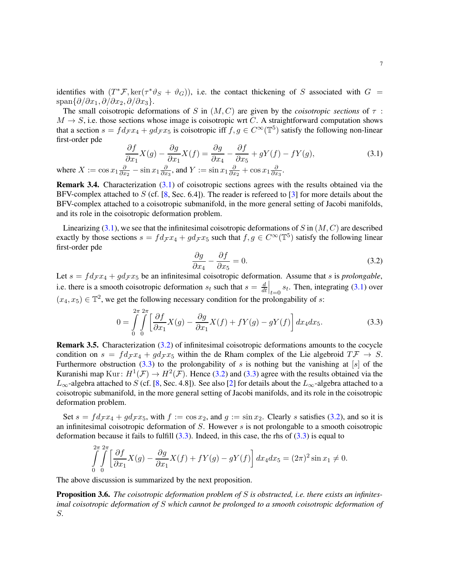identifies with  $(T^* \mathcal{F}, \ker(\tau^* \vartheta_S + \vartheta_G))$ , i.e. the contact thickening of *S* associated with  $G =$ span{*∂/∂x*1*, ∂/∂x*2*, ∂/∂x*3}.

The small coisotropic deformations of *S* in  $(M, C)$  are given by the *coisotropic sections* of  $\tau$ :  $M \rightarrow S$ , i.e. those sections whose image is coisotropic wrt *C*. A straightforward computation shows that a section  $s = fd_{\mathcal{F}}x_4 + gd_{\mathcal{F}}x_5$  is coisotropic iff  $f, g \in C^\infty(\mathbb{T}^5)$  satisfy the following non-linear first-order pde

<span id="page-6-0"></span>
$$
\frac{\partial f}{\partial x_1} X(g) - \frac{\partial g}{\partial x_1} X(f) = \frac{\partial g}{\partial x_4} - \frac{\partial f}{\partial x_5} + gY(f) - fY(g),
$$
\n
$$
\frac{\partial}{\partial x_2} - \sin x_1 \frac{\partial}{\partial x_3}, \text{ and } Y := \sin x_1 \frac{\partial}{\partial x_2} + \cos x_1 \frac{\partial}{\partial x_3}.
$$
\n(3.1)

where  $X := \cos x_1 \frac{\partial}{\partial x}$ *∂x*2 *∂x*3 Remark 3.4. Characterization [\(3.1\)](#page-6-0) of coisotropic sections agrees with the results obtained via the

BFV-complex attached to *S* (cf. [\[8,](#page-11-4) Sec. 6.4]). The reader is refereed to [\[3\]](#page-10-7) for more details about the BFV-complex attached to a coisotropic submanifold, in the more general setting of Jacobi manifolds, and its role in the coisotropic deformation problem.

Linearizing [\(3.1\)](#page-6-0), we see that the infinitesimal coisotropic deformations of *S* in (*M, C*) are described exactly by those sections  $s = fd_{\mathcal{F}}x_4 + gd_{\mathcal{F}}x_5$  such that  $f, g \in C^{\infty}(\mathbb{T}^5)$  satisfy the following linear first-order pde

<span id="page-6-1"></span>
$$
\frac{\partial g}{\partial x_4} - \frac{\partial f}{\partial x_5} = 0.
$$
\n(3.2)

Let  $s = fd_{\mathcal{F}}x_4 + gd_{\mathcal{F}}x_5$  be an infinitesimal coisotropic deformation. Assume that *s* is *prolongable*, i.e. there is a smooth coisotropic deformation  $s_t$  such that  $s = \frac{d}{dt}$ *dt*  $\begin{bmatrix} t_{t=0} & s_t \end{bmatrix}$ . Then, integrating [\(3.1\)](#page-6-0) over  $(x_4, x_5) \in \mathbb{T}^2$ , we get the following necessary condition for the prolongability of *s*:

<span id="page-6-2"></span>
$$
0 = \int_{0}^{2\pi} \int_{0}^{2\pi} \left[ \frac{\partial f}{\partial x_1} X(g) - \frac{\partial g}{\partial x_1} X(f) + fY(g) - gY(f) \right] dx_4 dx_5.
$$
 (3.3)

Remark 3.5. Characterization [\(3.2\)](#page-6-1) of infinitesimal coisotropic deformations amounts to the cocycle condition on  $s = fd\tau x_4 + gd\tau x_5$  within the de Rham complex of the Lie algebroid  $T\mathcal{F} \to S$ . Furthermore obstruction [\(3.3\)](#page-6-2) to the prolongability of *s* is nothing but the vanishing at [*s*] of the Kuranishi map Kur:  $H^1(\mathcal{F}) \to H^2(\mathcal{F})$ . Hence [\(3.2\)](#page-6-1) and [\(3.3\)](#page-6-2) agree with the results obtained via the *L*∞-algebra attached to *S* (cf. [\[8,](#page-11-4) Sec. 4.8]). See also [\[2\]](#page-10-3) for details about the *L*∞-algebra attached to a coisotropic submanifold, in the more general setting of Jacobi manifolds, and its role in the coisotropic deformation problem.

Set  $s = fd_{\mathcal{F}} x_4 + gd_{\mathcal{F}} x_5$ , with  $f := \cos x_2$ , and  $g := \sin x_2$ . Clearly *s* satisfies [\(3.2\)](#page-6-1), and so it is an infinitesimal coisotropic deformation of *S*. However *s* is not prolongable to a smooth coisotropic deformation because it fails to fulfill  $(3.3)$ . Indeed, in this case, the rhs of  $(3.3)$  is equal to

$$
\int_{0}^{2\pi} \int_{0}^{2\pi} \left[ \frac{\partial f}{\partial x_1} X(g) - \frac{\partial g}{\partial x_1} X(f) + fY(g) - gY(f) \right] dx_4 dx_5 = (2\pi)^2 \sin x_1 \neq 0.
$$

The above discussion is summarized by the next proposition.

Proposition 3.6. *The coisotropic deformation problem of S is obstructed, i.e. there exists an infinitesimal coisotropic deformation of S which cannot be prolonged to a smooth coisotropic deformation of S.*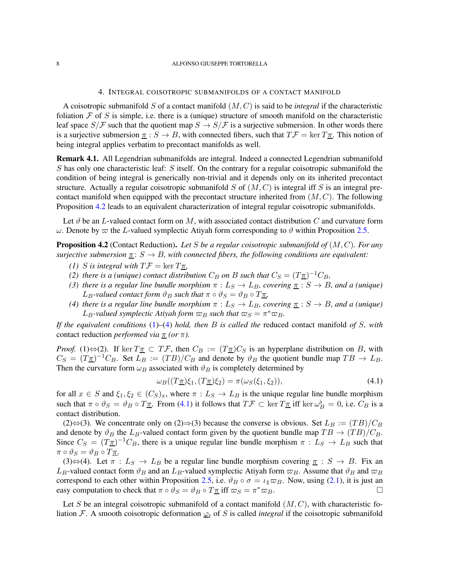#### <span id="page-7-0"></span>8 ALFONSO GIUSEPPE TORTORELLA

### 4. INTEGRAL COISOTROPIC SUBMANIFOLDS OF A CONTACT MANIFOLD

A coisotropic submanifold *S* of a contact manifold (*M, C*) is said to be *integral* if the characteristic foliation  $\mathcal F$  of  $S$  is simple, i.e. there is a (unique) structure of smooth manifold on the characteristic leaf space  $S/\mathcal{F}$  such that the quotient map  $S \to S/\mathcal{F}$  is a surjective submersion. In other words there is a surjective submersion  $\pi : S \to B$ , with connected fibers, such that  $T\mathcal{F} = \ker T\pi$ . This notion of being integral applies verbatim to precontact manifolds as well.

Remark 4.1. All Legendrian submanifolds are integral. Indeed a connected Legendrian submanifold *S* has only one characteristic leaf: *S* itself. On the contrary for a regular coisotropic submanifold the condition of being integral is generically non-trivial and it depends only on its inherited precontact structure. Actually a regular coisotropic submanifold *S* of (*M, C*) is integral iff *S* is an integral precontact manifold when equipped with the precontact structure inherited from (*M, C*). The following Proposition [4.2](#page-7-1) leads to an equivalent characterization of integral regular coisotropic submanifolds.

Let  $\vartheta$  be an *L*-valued contact form on *M*, with associated contact distribution *C* and curvature form *ω*. Denote by *π* the *L*-valued symplectic Atiyah form corresponding to *θ* within Proposition [2.5.](#page-3-2)

<span id="page-7-2"></span><span id="page-7-1"></span>Proposition 4.2 (Contact Reduction). *Let S be a regular coisotropic submanifold of* (*M, C*)*. For any surjective submersion*  $\pi$ :  $S \rightarrow B$ *, with connected fibers, the following conditions are equivalent:* 

- *(1) S is integral with*  $T\mathcal{F} = \ker T\pi$ ,
- *(2) there is a (unique) contact distribution*  $C_B$  *<i>on*  $B$  *such that*  $C_S = (T_{\overline{A}})^{-1}C_B$ *,*
- *(3) there is a regular line bundle morphism*  $\pi : L_S \to L_B$ *, covering*  $\pi : S \to B$ *, and a (unique)*  $L_B$ *-valued contact form*  $\vartheta_B$  *such that*  $\pi \circ \vartheta_S = \vartheta_B \circ T_{\overline{A}}$ *,*
- <span id="page-7-3"></span>*(4) there is a regular line bundle morphism*  $\pi : L_S \to L_B$ *, covering*  $\underline{\pi} : S \to B$ *, and a (unique) L*<sub>*B*</sub>-valued symplectic Atiyah form  $\varpi_B$  such that  $\varpi_S = \pi^* \varpi_B$ .

*If the equivalent conditions* [\(1\)](#page-7-2)*–*[\(4\)](#page-7-3) *hold, then B is called the* reduced contact manifold *of S, with* contact reduction *performed via*  $\pi$  *(or*  $\pi$ *).* 

*Proof.* (1) $\Leftrightarrow$  (2). If ker  $T_1 \subseteq T \mathcal{F}$ , then  $C_B := (T_1 \mathcal{F})C_S$  is an hyperplane distribution on *B*, with  $C_S = (T_{\overline{A}})^{-1}C_B$ . Set  $L_B := (TB)/C_B$  and denote by  $\vartheta_B$  the quotient bundle map  $TB \to L_B$ . Then the curvature form  $\omega_B$  associated with  $\vartheta_B$  is completely determined by

<span id="page-7-4"></span>
$$
\omega_B((T\underline{\pi})\xi_1, (T\underline{\pi})\xi_2) = \pi(\omega_S(\xi_1, \xi_2)),\tag{4.1}
$$

for all  $x \in S$  and  $\xi_1, \xi_2 \in (C_S)_x$ , where  $\pi : L_S \to L_B$  is the unique regular line bundle morphism such that  $\pi \circ \vartheta_S = \vartheta_B \circ T_{\overline{\pi}}$ . From [\(4.1\)](#page-7-4) it follows that  $T\mathcal{F} \subset \ker T_{\overline{\pi}}$  iff  $\ker \omega_B^{\flat} = 0$ , i.e.  $C_B$  is a contact distribution.

(2)⇔(3). We concentrate only on (2)⇒(3) because the converse is obvious. Set  $L_B := (TB)/C_B$ and denote by  $\vartheta_B$  the *L*<sub>*B*</sub>-valued contact form given by the quotient bundle map  $TB \rightarrow (TB)/C_B$ . Since  $C_S = (T_{\overline{A}})^{-1}C_B$ , there is a unique regular line bundle morphism  $\pi : L_S \to L_B$  such that  $\pi \circ \vartheta_S = \vartheta_B \circ T_{\pi}$ .

(3) $\Leftrightarrow$  (4). Let  $\pi : L_S \to L_B$  be a regular line bundle morphism covering  $\pi : S \to B$ . Fix an  $L_B$ -valued contact form  $\vartheta_B$  and an  $L_B$ -valued symplectic Atiyah form  $\varpi_B$ . Assume that  $\vartheta_B$  and  $\varpi_B$ correspond to each other within Proposition [2.5,](#page-3-2) i.e.  $\vartheta_B \circ \sigma = \iota_1 \varpi_B$ . Now, using [\(2.1\)](#page-2-0), it is just an easy computation to check that  $\pi \circ \vartheta_S = \vartheta_B \circ T_{\pi}$  iff  $\varpi_S = \pi^* \varpi_B$ .

Let *S* be an integral coisotropic submanifold of a contact manifold  $(M, C)$ , with characteristic foliation F. A smooth coisotropic deformation  $\varphi_t$  of *S* is called *integral* if the coisotropic submanifold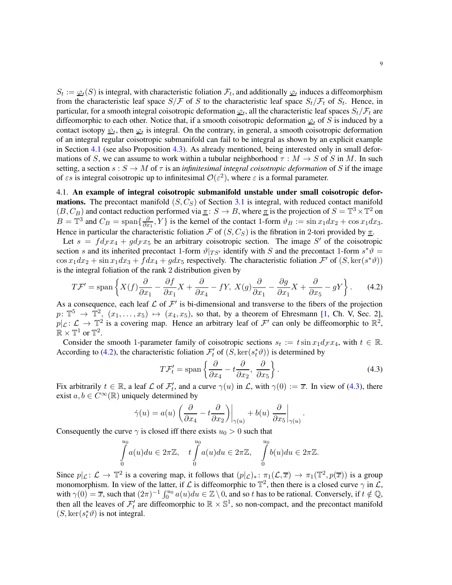$S_t := \varphi_t(S)$  is integral, with characteristic foliation  $\mathcal{F}_t$ , and additionally  $\varphi_t$  induces a diffeomorphism from the characteristic leaf space  $S/F$  of *S* to the characteristic leaf space  $S_t/F_t$  of  $S_t$ . Hence, in particular, for a smooth integral coisotropic deformation  $\varphi_t$ , all the characteristic leaf spaces  $S_t/\mathcal{F}_t$  are diffeomorphic to each other. Notice that, if a smooth coisotropic deformation  $\varphi_t$  of *S* is induced by a contact isotopy  $\psi_t$ , then  $\varphi_t$  is integral. On the contrary, in general, a smooth coisotropic deformation of an integral regular coisotropic submanifold can fail to be integral as shown by an explicit example in Section [4.1](#page-8-0) (see also Proposition [4.3\)](#page-9-0). As already mentioned, being interested only in small deformations of *S*, we can assume to work within a tubular neighborhood  $\tau : M \to S$  of *S* in *M*. In such setting, a section  $s : S \to M$  of  $\tau$  is an *infinitesimal integral coisotropic deformation* of S if the image of  $\epsilon s$  is integral coisotropic up to infinitesimal  $\mathcal{O}(\epsilon^2)$ , where  $\epsilon$  is a formal parameter.

<span id="page-8-0"></span>4.1. An example of integral coisotropic submanifold unstable under small coisotropic defor**mations.** The precontact manifold  $(S, C_S)$  of Section [3.1](#page-5-0) is integral, with reduced contact manifold  $(B, C_B)$  and contact reduction performed via  $\underline{\pi}$ :  $S \to B$ , where  $\underline{\pi}$  is the projection of  $S = \mathbb{T}^3 \times \mathbb{T}^2$  on  $B = \mathbb{T}^3$  and  $C_B = \text{span}\{\frac{\partial}{\partial x}$  $\frac{\partial}{\partial x_1}$ , Y } is the kernel of the contact 1-form  $\vartheta_B := \sin x_1 dx_2 + \cos x_1 dx_3$ . Hence in particular the characteristic foliation  $\mathcal F$  of  $(S, C_S)$  is the fibration in 2-tori provided by  $\pi$ .

Let  $s = fd_{\mathcal{F}}x_4 + gd_{\mathcal{F}}x_5$  be an arbitrary coisotropic section. The image S' of the coisotropic section *s* and its inherited precontact 1-form  $\vartheta|_{TS'}$  identify with *S* and the precontact 1-form  $s^*\vartheta =$  $\cos x_1 dx_2 + \sin x_1 dx_3 + f dx_4 + g dx_5$  respectively. The characteristic foliation  $\mathcal{F}'$  of  $(S, \ker(s^*\theta))$ is the integral foliation of the rank 2 distribution given by

<span id="page-8-1"></span>
$$
T\mathcal{F}' = \text{span}\left\{X(f)\frac{\partial}{\partial x_1} - \frac{\partial f}{\partial x_1}X + \frac{\partial}{\partial x_4} - fY, \ X(g)\frac{\partial}{\partial x_1} - \frac{\partial g}{\partial x_1}X + \frac{\partial}{\partial x_5} - gY\right\}.
$$
 (4.2)

As a consequence, each leaf  $\mathcal L$  of  $\mathcal F'$  is bi-dimensional and transverse to the fibers of the projection  $p: \mathbb{T}^5 \to \mathbb{T}^2$ ,  $(x_1, \ldots, x_5) \mapsto (x_4, x_5)$ , so that, by a theorem of Ehresmann [\[1,](#page-10-8) Ch. V, Sec. 2],  $p|_{\mathcal{L}}: \mathcal{L} \to \mathbb{T}^2$  is a covering map. Hence an arbitrary leaf of  $\mathcal{F}'$  can only be diffeomorphic to  $\mathbb{R}^2$ ,  $\mathbb{R} \times \mathbb{T}^1$  or  $\mathbb{T}^2$ .

Consider the smooth 1-parameter family of coisotropic sections  $s_t := t \sin x_1 d_F x_4$ , with  $t \in \mathbb{R}$ . According to [\(4.2\)](#page-8-1), the characteristic foliation  $\mathcal{F}'_t$  of  $(S, \ker(s^*_t \vartheta))$  is determined by

<span id="page-8-2"></span>
$$
T\mathcal{F}'_t = \text{span}\left\{\frac{\partial}{\partial x_4} - t\frac{\partial}{\partial x_2}, \frac{\partial}{\partial x_5}\right\}.
$$
 (4.3)

Fix arbitrarily  $t \in \mathbb{R}$ , a leaf  $\mathcal L$  of  $\mathcal F'_t$ *t*, and a curve  $\gamma(u)$  in  $\mathcal{L}$ , with  $\gamma(0) := \overline{x}$ . In view of [\(4.3\)](#page-8-2), there exist  $a, b \in C^{\infty}(\mathbb{R})$  uniquely determined by

$$
\dot{\gamma}(u) = a(u) \left. \left( \frac{\partial}{\partial x_4} - t \frac{\partial}{\partial x_2} \right) \right|_{\gamma(u)} + b(u) \left. \frac{\partial}{\partial x_5} \right|_{\gamma(u)}.
$$

Consequently the curve  $\gamma$  is closed iff there exists  $u_0 > 0$  such that

$$
\int_{0}^{u_0} a(u) du \in 2\pi \mathbb{Z}, \quad t \int_{0}^{u_0} a(u) du \in 2\pi \mathbb{Z}, \quad \int_{0}^{u_0} b(u) du \in 2\pi \mathbb{Z}.
$$

Since  $p|_{\mathcal{L}}: \mathcal{L} \to \mathbb{T}^2$  is a covering map, it follows that  $(p|_{\mathcal{L}})_*: \pi_1(\mathcal{L}, \overline{x}) \to \pi_1(\mathbb{T}^2, p(\overline{x}))$  is a group monomorphism. In view of the latter, if  $\mathcal L$  is diffeomorphic to  $\mathbb T^2$ , then there is a closed curve  $\gamma$  in  $\mathcal L$ , with  $\gamma(0) = \overline{x}$ , such that  $(2\pi)^{-1} \int_0^{u_0} a(u) du \in \mathbb{Z} \setminus 0$ , and so *t* has to be rational. Conversely, if  $t \notin \mathbb{Q}$ , then all the leaves of  $\mathcal{F}'_t$  are diffeomorphic to  $\mathbb{R} \times \mathbb{S}^1$ , so non-compact, and the precontact manifold  $(S, \ker(s_t^*\theta))$  is not integral.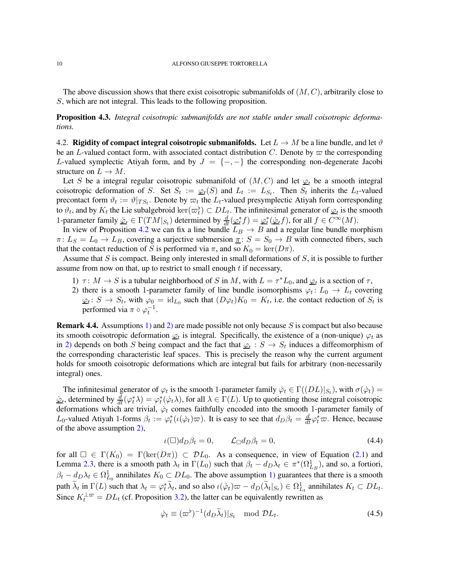The above discussion shows that there exist coisotropic submanifolds of (*M, C*), arbitrarily close to *S*, which are not integral. This leads to the following proposition.

<span id="page-9-0"></span>Proposition 4.3. *Integral coisotropic submanifolds are not stable under small coisotropic deformations.*

4.2. Rigidity of compact integral coisotropic submanifolds. Let  $L \to M$  be a line bundle, and let  $\vartheta$ be an *L*-valued contact form, with associated contact distribution *C*. Denote by  $\varpi$  the corresponding *L*-valued symplectic Atiyah form, and by  $J = \{-,-\}$  the corresponding non-degenerate Jacobi structure on  $L \to M$ .

Let *S* be a integral regular coisotropic submanifold of  $(M, C)$  and let  $\varphi_t$  be a smooth integral coisotropic deformation of *S*. Set  $S_t := \mathcal{Q}_t(S)$  and  $L_t := L_{S_t}$ . Then  $S_t$  inherits the  $L_t$ -valued precontact form  $\vartheta_t := \vartheta|_{TS_t}$ . Denote by  $\varpi_t$  the  $L_t$ -valued presymplectic Atiyah form corresponding to  $\vartheta_t$ , and by  $K_t$  the Lie subalgebroid  $\ker(\varpi_t^{\flat}) \subset DL_t$ . The infinitesimal generator of  $\varphi_t$  is the smooth 1-parameter family  $\varphi_t \in \Gamma(TM|_{S_t})$  determined by  $\frac{d}{dt}(\varphi_t^* f) = \varphi_t^*$  $t^*(\dot{\varphi}_t f)$ , for all  $f \in C^\infty(M)$ .

In view of Proposition [4.2](#page-7-1) we can fix a line bundle  $L_B \rightarrow B$  and a regular line bundle morphism  $\pi: L_S = L_0 \rightarrow L_B$ , covering a surjective submersion  $\pi: S = S_0 \rightarrow B$  with connected fibers, such that the contact reduction of *S* is performed via  $\pi$ , and so  $K_0 = \text{ker}(D\pi)$ .

<span id="page-9-1"></span>Assume that *S* is compact. Being only interested in small deformations of *S*, it is possible to further assume from now on that, up to restrict to small enough *t* if necessary,

- <span id="page-9-2"></span>1)  $\tau: M \to S$  is a tubular neighborhood of *S* in *M*, with  $L = \tau^* L_0$ , and  $\varphi_t$  is a section of  $\tau$ ,
- 2) there is a smooth 1-parameter family of line bundle isomorphisms  $\varphi_t: L_0 \to L_t$  covering  $\varphi_t$ :  $S \to S_t$ , with  $\varphi_0 = id_{L_0}$  such that  $(D\varphi_t)K_0 = K_t$ , i.e. the contact reduction of  $S_t$  is performed via  $\pi \circ \varphi_t^{-1}$ .

Remark 4.4. Assumptions [1\)](#page-9-1) and [2\)](#page-9-2) are made possible not only because *S* is compact but also because its smooth coisotropic deformation  $\varphi_t$  is integral. Specifically, the existence of a (non-unique)  $\varphi_t$  as in [2\)](#page-9-2) depends on both *S* being compact and the fact that  $\varphi_t : S \to S_t$  induces a diffeomorphism of the corresponding characteristic leaf spaces. This is precisely the reason why the current argument holds for smooth coisotropic deformations which are integral but fails for arbitrary (non-necessarily integral) ones.

The infinitesimal generator of  $\varphi_t$  is the smooth 1-parameter family  $\dot{\varphi}_t \in \Gamma((DL)|_{S_t})$ , with  $\sigma(\dot{\varphi}_t)$  =  $\dot{\varphi}_t$ , determined by  $\frac{d}{dt}(\varphi_t^*\lambda) = \varphi_t^*$  $t_t^*(\dot{\varphi}_t \lambda)$ , for all  $\lambda \in \Gamma(L)$ . Up to quotienting those integral coisotropic deformations which are trivial, *ϕ*˙*<sup>t</sup>* comes faithfully encoded into the smooth 1-parameter family of *L*<sub>0</sub>-valued Atiyah 1-forms  $\beta_t := \varphi_t^*$  $t^*$ (*ι*( $\dot{\varphi}_t$ ) $\varpi$ ). It is easy to see that  $d_D \beta_t = \frac{d}{dt} \varphi_t^* \varpi$ . Hence, because of the above assumption [2\),](#page-9-2)

<span id="page-9-4"></span>
$$
\iota(\Box)d_D\beta_t = 0, \qquad \mathcal{L}_{\Box}d_D\beta_t = 0, \tag{4.4}
$$

for all  $\Box \in \Gamma(K_0) = \Gamma(\ker(D\pi)) \subset \mathcal{D}L_0$ . As a consequence, in view of Equation [\(2.1\)](#page-2-0) and Lemma [2.3,](#page-3-4) there is a smooth path  $\lambda_t$  in  $\Gamma(L_0)$  such that  $\beta_t - d_D\lambda_t \in \pi^*(\Omega_{L_B}^1)$ , and so, a fortiori,  $\beta_t - d_D \lambda_t \in \Omega^1_{L_0}$  annihilates  $K_0 \subset DL_0$ . The above assumption [1\)](#page-9-1) guarantees that there is a smooth path  $\widetilde{\lambda}_t$  in  $\Gamma(L)$  such that  $\lambda_t = \varphi_t^*$ *t*<sup> $\lambda$ </sup>*t*</sub>, and so also *ι*( $\dot{\varphi}_t$ ) $\varpi - d_D(\tilde{\lambda}_t|_{S_t}) \in \Omega^1_{L_t}$  annihilates  $K_t \subset DL_t$ . Since  $K_t^{\perp \varpi} = DL_t$  (cf. Proposition [3.2\)](#page-5-3), the latter can be equivalently rewritten as

<span id="page-9-3"></span>
$$
\dot{\varphi}_t \equiv (\varpi^{\flat})^{-1} (d_D \tilde{\lambda}_t)|_{S_t} \mod \mathcal{D}L_t.
$$
\n(4.5)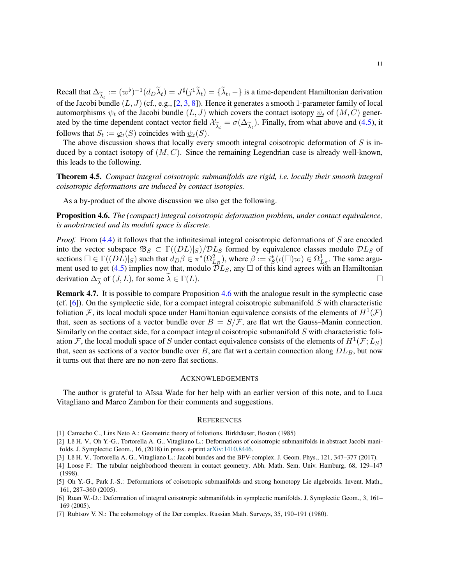Recall that  $\Delta_{\tilde{\lambda}_t} := (\varpi^{\flat})^{-1} (d_D \tilde{\lambda}_t) = J^{\sharp}(j^1 \tilde{\lambda}_t) = {\{\tilde{\lambda}_t, -\}}$  is a time-dependent Hamiltonian derivation of the Joseph handle  $(I, I)$  (of a g [2, 2, 81). Hence it expends a smooth 1 perspector family of loc of the Jacobi bundle (*L, J*) (cf., e.g., [\[2,](#page-10-3) [3,](#page-10-7) [8\]](#page-11-4)). Hence it generates a smooth 1-parameter family of local automorphisms  $\psi_t$  of the Jacobi bundle  $(L, J)$  which covers the contact isotopy  $\underline{\psi}_t$  of  $(M, C)$  generated by the time dependent contact vector field  $\mathcal{X}_{\tilde{\lambda}_t} = \sigma(\Delta_{\tilde{\lambda}_t})$ . Finally, from what above and [\(4.5\)](#page-9-3), it follows that  $S_{\tilde{\lambda}_t} = \sigma(S)$  coincides with  $\phi_t(S)$ . follows that  $S_t := \varphi_t(S)$  coincides with  $\psi_t(S)$ .

The above discussion shows that locally every smooth integral coisotropic deformation of *S* is induced by a contact isotopy of (*M, C*). Since the remaining Legendrian case is already well-known, this leads to the following.

<span id="page-10-4"></span>Theorem 4.5. *Compact integral coisotropic submanifolds are rigid, i.e. locally their smooth integral coisotropic deformations are induced by contact isotopies.*

As a by-product of the above discussion we also get the following.

<span id="page-10-5"></span>Proposition 4.6. *The (compact) integral coisotropic deformation problem, under contact equivalence, is unobstructed and its moduli space is discrete.*

*Proof.* From [\(4.4\)](#page-9-4) it follows that the infinitesimal integral coisotropic deformations of *S* are encoded into the vector subspace  $\mathfrak{B}_S \subset \Gamma((DL)|_S)/DL_S$  formed by equivalence classes modulo  $DL_S$  of sections  $\square \in \Gamma((DL)|_S)$  such that  $\overrightarrow{d}_D \beta \in \pi^*(\Omega_{L_B}^2)$ , where  $\beta := \overrightarrow{i}_{S}^*$  $S(\iota(\Box)\varpi) \in \Omega^1_{L_S}$ . The same argu-ment used to get [\(4.5\)](#page-9-3) implies now that, modulo  $\tilde{DL}_S$ , any  $\Box$  of this kind agrees with an Hamiltonian derivation  $\Delta_{\widetilde{\lambda}}$  of  $(J, L)$ , for some  $\widetilde{\lambda} \in \Gamma(L)$ .

Remark 4.7. It is possible to compare Proposition [4.6](#page-10-5) with the analogue result in the symplectic case (cf. [\[6\]](#page-10-1)). On the symplectic side, for a compact integral coisotropic submanifold *S* with characteristic foliation F, its local moduli space under Hamiltonian equivalence consists of the elements of  $H^1(\mathcal{F})$ that, seen as sections of a vector bundle over  $B = S/\mathcal{F}$ , are flat wrt the Gauss–Manin connection. Similarly on the contact side, for a compact integral coisotropic submanifold *S* with characteristic foliation F, the local moduli space of S under contact equivalence consists of the elements of  $H^1(\mathcal{F}; L_S)$ that, seen as sections of a vector bundle over *B*, are flat wrt a certain connection along *DLB*, but now it turns out that there are no non-zero flat sections.

## ACKNOWLEDGEMENTS

The author is grateful to Aïssa Wade for her help with an earlier version of this note, and to Luca Vitagliano and Marco Zambon for their comments and suggestions.

#### **REFERENCES**

<span id="page-10-8"></span><span id="page-10-3"></span><sup>[1]</sup> Camacho C., Lins Neto A.: Geometric theory of foliations. Birkhäuser, Boston (1985)

<sup>[2]</sup> Lê H. V., Oh Y.-G., Tortorella A. G., Vitagliano L.: Deformations of coisotropic submanifolds in abstract Jacobi manifolds. J. Symplectic Geom., 16, (2018) in press. e-print [arXiv:1410.8446.](https://arxiv.org/abs/1410.8446)

<span id="page-10-7"></span><span id="page-10-2"></span><sup>[3]</sup> Lê H. V., Tortorella A. G., Vitagliano L.: Jacobi bundes and the BFV-complex. J. Geom. Phys., 121, 347–377 (2017).

<sup>[4]</sup> Loose F.: The tubular neighborhood theorem in contact geometry. Abh. Math. Sem. Univ. Hamburg, 68, 129–147 (1998).

<span id="page-10-0"></span><sup>[5]</sup> Oh Y.-G., Park J.-S.: Deformations of coisotropic submanifolds and strong homotopy Lie algebroids. Invent. Math., 161, 287–360 (2005).

<span id="page-10-1"></span><sup>[6]</sup> Ruan W.-D.: Deformation of integral coisotropic submanifolds in symplectic manifolds. J. Symplectic Geom., 3, 161– 169 (2005).

<span id="page-10-6"></span><sup>[7]</sup> Rubtsov V. N.: The cohomology of the Der complex. Russian Math. Surveys, 35, 190–191 (1980).